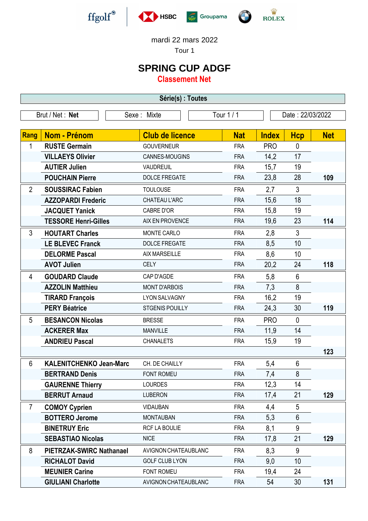





mardi 22 mars 2022

Tour 1

## **SPRING CUP ADGF**

**Classement Net**

| Série(s) : Toutes |                                 |                        |            |                  |                |            |  |  |  |
|-------------------|---------------------------------|------------------------|------------|------------------|----------------|------------|--|--|--|
|                   | Brut / Net: Net                 | Sexe: Mixte            | Tour 1 / 1 | Date: 22/03/2022 |                |            |  |  |  |
| Rang              | <b>Nom - Prénom</b>             | <b>Club de licence</b> | <b>Nat</b> | <b>Index</b>     | <b>Hcp</b>     | <b>Net</b> |  |  |  |
| 1                 | <b>RUSTE Germain</b>            | <b>GOUVERNEUR</b>      | <b>FRA</b> | <b>PRO</b>       | $\mathbf 0$    |            |  |  |  |
|                   | <b>VILLAEYS Olivier</b>         | CANNES-MOUGINS         | <b>FRA</b> | 14,2             | 17             |            |  |  |  |
|                   | <b>AUTIER Julien</b>            | VAUDREUIL              | <b>FRA</b> | 15,7             | 19             |            |  |  |  |
|                   | <b>POUCHAIN Pierre</b>          | DOLCE FREGATE          | <b>FRA</b> | 23,8             | 28             | 109        |  |  |  |
| $\overline{2}$    | <b>SOUSSIRAC Fabien</b>         | <b>TOULOUSE</b>        | <b>FRA</b> | 2,7              | $\mathfrak{Z}$ |            |  |  |  |
|                   | <b>AZZOPARDI Frederic</b>       | CHATEAU L'ARC          | <b>FRA</b> | 15,6             | 18             |            |  |  |  |
|                   | <b>JACQUET Yanick</b>           | <b>CABRE D'OR</b>      | <b>FRA</b> | 15,8             | 19             |            |  |  |  |
|                   | <b>TESSORE Henri-Gilles</b>     | AIX EN PROVENCE        | <b>FRA</b> | 19,6             | 23             | 114        |  |  |  |
| 3                 | <b>HOUTART Charles</b>          | MONTE CARLO            | <b>FRA</b> | 2,8              | 3              |            |  |  |  |
|                   | <b>LE BLEVEC Franck</b>         | <b>DOLCE FREGATE</b>   | <b>FRA</b> | 8,5              | 10             |            |  |  |  |
|                   | <b>DELORME Pascal</b>           | <b>AIX MARSEILLE</b>   | <b>FRA</b> | 8,6              | 10             |            |  |  |  |
|                   | <b>AVOT Julien</b>              | <b>CELY</b>            | <b>FRA</b> | 20,2             | 24             | 118        |  |  |  |
| 4                 | <b>GOUDARD Claude</b>           | CAP D'AGDE             | <b>FRA</b> | 5,8              | $6\phantom{1}$ |            |  |  |  |
|                   | <b>AZZOLIN Matthieu</b>         | <b>MONT D'ARBOIS</b>   | <b>FRA</b> | 7,3              | 8              |            |  |  |  |
|                   | <b>TIRARD François</b>          | <b>LYON SALVAGNY</b>   | <b>FRA</b> | 16,2             | 19             |            |  |  |  |
|                   | <b>PERY Béatrice</b>            | <b>STGENIS POUILLY</b> | <b>FRA</b> | 24,3             | 30             | 119        |  |  |  |
| 5                 | <b>BESANCON Nicolas</b>         | <b>BRESSE</b>          | <b>FRA</b> | <b>PRO</b>       | $\mathbf{0}$   |            |  |  |  |
|                   | <b>ACKERER Max</b>              | <b>MANVILLE</b>        | <b>FRA</b> | 11,9             | 14             |            |  |  |  |
|                   | <b>ANDRIEU Pascal</b>           | <b>CHANALETS</b>       | <b>FRA</b> | 15,9             | 19             |            |  |  |  |
|                   |                                 |                        |            |                  |                | 123        |  |  |  |
| 6                 | <b>KALENITCHENKO Jean-Marc</b>  | CH. DE CHAILLY         | <b>FRA</b> | 5,4              | 6              |            |  |  |  |
|                   | <b>BERTRAND Denis</b>           | FONT ROMEU             | <b>FRA</b> | 7,4              | 8              |            |  |  |  |
|                   | <b>GAURENNE Thierry</b>         | <b>LOURDES</b>         | <b>FRA</b> | 12,3             | 14             |            |  |  |  |
|                   | <b>BERRUT Arnaud</b>            | <b>LUBERON</b>         | <b>FRA</b> | 17,4             | 21             | 129        |  |  |  |
| 7                 | <b>COMOY Cyprien</b>            | <b>VIDAUBAN</b>        | <b>FRA</b> | 4,4              | 5              |            |  |  |  |
|                   | <b>BOTTERO Jerome</b>           | <b>MONTAUBAN</b>       | <b>FRA</b> | 5,3              | $6\phantom{1}$ |            |  |  |  |
|                   | <b>BINETRUY Eric</b>            | RCF LA BOULIE          | <b>FRA</b> | 8,1              | 9              |            |  |  |  |
|                   | <b>SEBASTIAO Nicolas</b>        | <b>NICE</b>            | <b>FRA</b> | 17,8             | 21             | 129        |  |  |  |
| 8                 | <b>PIETRZAK-SWIRC Nathanael</b> | AVIGNON CHATEAUBLANC   | <b>FRA</b> | 8,3              | 9              |            |  |  |  |
|                   | <b>RICHALOT David</b>           | <b>GOLF CLUB LYON</b>  | <b>FRA</b> | 9,0              | 10             |            |  |  |  |
|                   | <b>MEUNIER Carine</b>           | FONT ROMEU             | <b>FRA</b> | 19,4             | 24             |            |  |  |  |
|                   | <b>GIULIANI Charlotte</b>       | AVIGNON CHATEAUBLANC   | <b>FRA</b> | 54               | 30             | 131        |  |  |  |